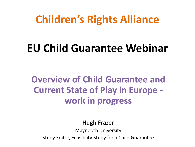### **Children's Rights Alliance**

# **EU Child Guarantee Webinar**

**Overview of Child Guarantee and Current State of Play in Europe work in progress**

Hugh Frazer Maynooth University Study Editor, Feasiblity Study for a Child Guarantee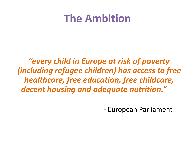### **The Ambition**

*"every child in Europe at risk of poverty (including refugee children) has access to free healthcare, free education, free childcare, decent housing and adequate nutrition."* 

- European Parliament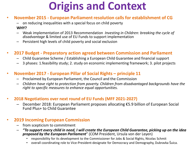# **Origins and Context**

#### • **November 2015 - European Parliament resolution calls for establishment of CG**

– on reducing inequalities with a special focus on child poverty **WHY?**

- Weak implementation of 2013 Recommendation *Investing in Children: breaking the cycle of disadvantage* & limited use of EU Funds to support implementation
- Persistent high levels of child poverty and social exclusion

#### • **2017 Budget - Preparatory action agreed between Commission and Parliament**

- Child Guarantee Scheme / Establishing a European Child Guarantee and financial support
- 3 phases: 1.feasibility study; 2. study on economic implementing framework; 3. pilot projects

#### • **November 2017 - European Pillar of Social Rights – principle 11**

- Proclaimed by European Parliament, the Council and the Commission
- *Children have right to protection from poverty. Children from disadvantaged backgrounds have the right to specific measures to enhance equal opportunities.*

#### • **2018 Negotiations over next round of EU Funds (MFF 2021-2027)**

– December 2018: European Parliament proposes allocating €5.9 billion of European Social Fund Plus+ to Child Guarantee

#### • **2019 Incoming European Commission**

- from scepticism to commitment
- *"To support every child in need, I will create the European Child Guarantee, picking up on the idea proposed by the European Parliament*" (COM President, Ursula von der Leyen)
	- responsibility for its development to the Commissioner for Jobs & Social Rights, Nicolas Schmit
	- overall coordinating role to Vice-President-designate for Democracy and Demography, Dubravka Šuica.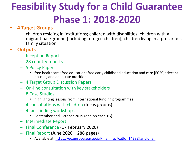# **Feasibility Study for a Child Guarantee Phase 1: 2018-2020**

#### • **4 Target Groups**

– children residing in institutions; children with disabilities; children with a migrant background [including refugee children]; children living in a precarious family situation

#### • **Outputs**

- Inception Report
- 28 country reports
- 5 Policy Papers
	- free healthcare; free education; free early childhood education and care [ECEC]; decent housing and adequate nutrition
- 4 Target Group Discussion Papers
- On-line consultation with key stakeholders
- 8 Case Studies
	- highlighting lessons from international funding programmes
- 4 consultations with children (focus groups)
- 4 fact-finding workshops
	- September and October 2019 (one on each TG)
- Intermediate Report
- Final Conference (17 February 2020)
- Final Report (June 2020 286 pages)
	- Available at: <https://ec.europa.eu/social/main.jsp?catId=1428&langId=en>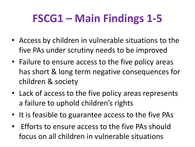# **FSCG1 – Main Findings 1-5**

- Access by children in vulnerable situations to the five PAs under scrutiny needs to be improved
- Failure to ensure access to the five policy areas has short & long term negative consequences for children & society
- Lack of access to the five policy areas represents a failure to uphold children's rights
- It is feasible to guarantee access to the five PAs
- Efforts to ensure access to the five PAs should focus on all children in vulnerable situations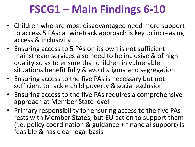# **FSCG1 – Main Findings 6-10**

- Children who are most disadvantaged need more support to access 5 PAs: a twin-track approach is key to increasing access & inclusivity
- Ensuring access to 5 PAs on its own is not sufficient: mainstream services also need to be inclusive & of high quality so as to ensure that children in vulnerable situations benefit fully & avoid stigma and segregation
- Ensuring access to the five PAs is necessary but not sufficient to tackle child poverty & social exclusion
- Ensuring access to the five PAs requires a comprehensive approach at Member State level
- Primary responsibility for ensuring access to the five PAs rests with Member States, but EU action to support them (i.e. policy coordination & guidance + financial support) is feasible & has clear legal basis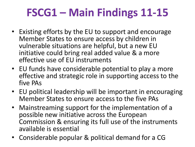# **FSCG1 – Main Findings 11-15**

- Existing efforts by the EU to support and encourage Member States to ensure access by children in vulnerable situations are helpful, but a new EU initiative could bring real added value & a more effective use of EU instruments
- EU funds have considerable potential to play a more effective and strategic role in supporting access to the five PAs
- EU political leadership will be important in encouraging Member States to ensure access to the five PAs
- Mainstreaming support for the implementation of a possible new initiative across the European Commission & ensuring its full use of the instruments available is essential
- Considerable popular & political demand for a CG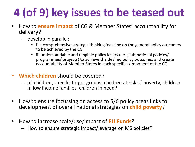# **4 (of 9) key issues to be teased out**

- How to **ensure impact** of CG & Member States' accountability for delivery?
	- develop in parallel:
		- i) a comprehensive strategic thinking focusing on the general policy outcomes to be achieved by the CG
		- ii) understandable and tangible policy levers (i.e. (sub)national policies/ programmes/ projects) to achieve the desired policy outcomes and create accountability of Member States in each specific component of the CG
- **Which children** should be covered?
	- all children, specific target groups, children at risk of poverty, children in low income families, children in need?
- How to ensure focussing on access to 5/6 policy areas links to development of overall national strategies on **child poverty**?
- How to increase scale/use/impact of **EU Funds**?
	- How to ensure strategic impact/leverage on MS policies?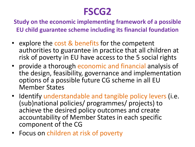### **FSCG2**

**Study on the economic implementing framework of a possible EU child guarantee scheme including its financial foundation**

- explore the cost & benefits for the competent authorities to guarantee in practice that all children at risk of poverty in EU have access to the 5 social rights
- provide a thorough economic and financial analysis of the design, feasibility, governance and implementation options of a possible future CG scheme in all EU Member States
- Identify understandable and tangible policy levers (i.e. (sub)national policies/ programmes/ projects) to achieve the desired policy outcomes and create accountability of Member States in each specific component of the CG
- Focus on children at risk of poverty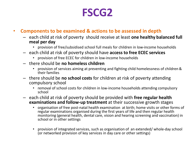### **FSCG2**

#### • **Components to be examined & actions to be assessed in depth**

- each child at risk of poverty should receive at least **one healthy balanced full meal per day**
	- provision of free/subsidised school full meals for children in low-income households
- each child at risk of poverty should have **access to free ECEC services**
	- provision of free ECEC for children in low-income households
- there should be **no homeless children**
	- provision of services aiming at preventing and fighting child homelessness of children & their families
- there should be **no school costs** for children at risk of poverty attending compulsory school
	- removal of school costs for children in low-income households attending compulsory school
- each child at risk of poverty should be provided with **free regular health examinations and follow-up treatment** at their successive growth stages
	- organisation of free post-natal health examination at birth; home visits or other forms of regular examinations organised during the first years of life and then regular health monitoring (general health, dental care, vision and hearing screening and vaccination) in school or in other settings
	- provision of integrated services, such as organisation of an extended/ whole-day school (or networked provision of key services in day care or other settings)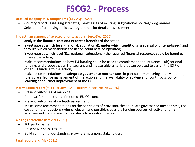### **FSCG2 - Process**

- **Detailed mapping of 5 components** (July-Aug. 2020)
	- Country reports assessing strengths/weaknesses of existing (sub)national policies/programmes
	- Selection of promising policies/programmes for detailed assessment
- **In-depth assessment of selected priority action**s (Sept.-Dec. 2020)
	- analyse **the financial cost and expected benefits** of the action;
	- investigate at **which level** (national, subnational), **under which conditions** (universal or criteria-based) and through **which mechanism**s the action could best be operated;
	- investigate at which level (EU, national, subnational) the required **financial resources** could be found to finance the action;
	- make recommendations on how **EU funding** could be used to complement and influence (sub)national funding, and propose clear, transparent and measurable criteria that can be used to assign the ESIF or other EU funding to the action;
	- make recommendations on adequate **governance mechanisms**, in particular monitoring and evaluation, to ensure effective management of the action and the availability of evidence for continuous policy learning and further improvement of the CG
- **Intermediate report** (mid February 2021 interim report end Nov.2020)
	- Present outcomes of mapping
	- Proposal for a practical definition of EU CG concept
	- Present outcomes of in-depth assessment
	- Make some recommendations on the conditions of provision, the adequate governance mechanisms, the cost of different options (where relevant and possible), possible funding sources, effective funding arrangements, and measurable criteria to monitor progress
- **Closing conference** (late April 2021)
	- 200 participants
	- Present & discuss results
	- Build common understanding & ownership among stakeholders
- **Final report** (end May 2021)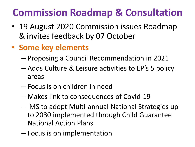### **Commission Roadmap & Consultation**

- 19 August 2020 Commission issues Roadmap & invites feedback by 07 October
- **Some key elements**
	- Proposing a Council Recommendation in 2021
	- Adds Culture & Leisure activities to EP's 5 policy areas
	- Focus is on children in need
	- Makes link to consequences of Covid-19
	- MS to adopt Multi-annual National Strategies up to 2030 implemented through Child Guarantee National Action Plans
	- Focus is on implementation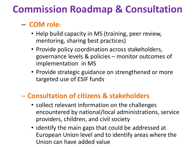### **Commission Roadmap & Consultation**

### – **COM role:**

- Help build capacity in MS (training, peer review, mentoring, sharing best practices)
- Provide policy coordination across stakeholders, governance levels & policies – monitor outcomes of implementation in MS
- Provide strategic guidance on strengthened or more targeted use of ESIF funds

#### – **Consultation of citizens & stakeholders**

- collect relevant information on the challenges encountered by national/local administrations, service providers, children, and civil society
- identify the main gaps that could be addressed at European Union level and to identify areas where the Union can have added value